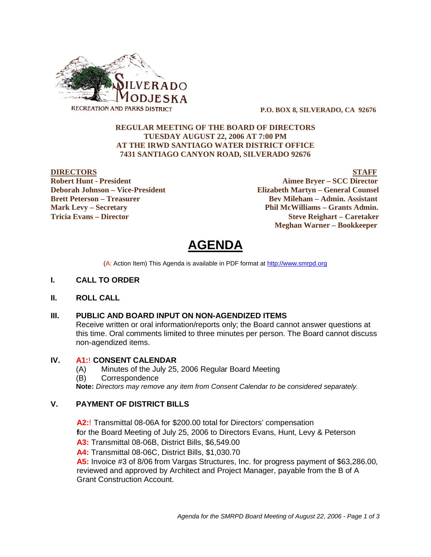

 **P.O. BOX 8, SILVERADO, CA 92676**

### **REGULAR MEETING OF THE BOARD OF DIRECTORS TUESDAY AUGUST 22, 2006 AT 7:00 PM AT THE IRWD SANTIAGO WATER DISTRICT OFFICE 7431 SANTIAGO CANYON ROAD, SILVERADO 92676**

**DIRECTORS STAFF Robert Hunt - President Aimee Bryer – SCC Director Deborah Johnson – Vice-President Elizabeth Martyn – General Counsel Brett Peterson – Treasurer Serverson – Bev Mileham – Admin. Assistant Mark Levy – Secretary Phil McWilliams – Grants Admin. Tricia Evans – Director Steve Reighart – Caretaker Meghan Warner – Bookkeeper**

**AGENDA** 

(A: Action Item) This Agenda is available in PDF format at http://www.smrpd.org

#### **I. CALL TO ORDER**

#### **II. ROLL CALL**

#### **III. PUBLIC AND BOARD INPUT ON NON-AGENDIZED ITEMS**

Receive written or oral information/reports only; the Board cannot answer questions at this time. Oral comments limited to three minutes per person. The Board cannot discuss non-agendized items.

#### **IV. A1:**! **CONSENT CALENDAR**

(A) Minutes of the July 25, 2006 Regular Board Meeting

(B) Correspondence

**Note:** *Directors may remove any item from Consent Calendar to be considered separately.*

# **V. PAYMENT OF DISTRICT BILLS**

**A2:**! Transmittal 08-06A for \$200.00 total for Directors' compensation

**f**or the Board Meeting of July 25, 2006 to Directors Evans, Hunt, Levy & Peterson

**A3:** Transmittal 08-06B, District Bills, \$6,549.00

**A4:** Transmittal 08-06C, District Bills, \$1,030.70

**A5:** Invoice #3 of 8/06 from Vargas Structures, Inc. for progress payment of \$63,286.00, reviewed and approved by Architect and Project Manager, payable from the B of A Grant Construction Account.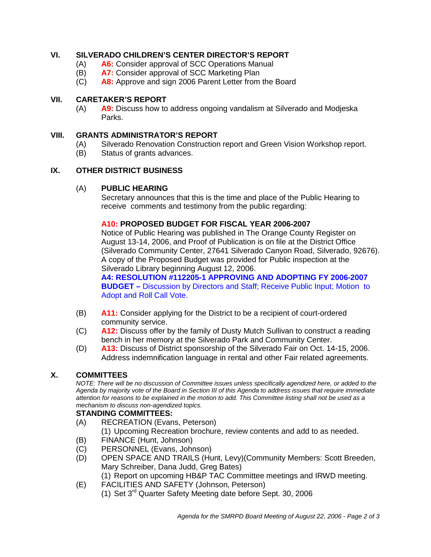# **VI. SILVERADO CHILDREN'S CENTER DIRECTOR'S REPORT**

- (A) **A6:** Consider approval of SCC Operations Manual
- (B) **A7:** Consider approval of SCC Marketing Plan
- (C) **A8:** Approve and sign 2006 Parent Letter from the Board

# **VII. CARETAKER'S REPORT**

(A) **A9:** Discuss how to address ongoing vandalism at Silverado and Modjeska Parks.

# **VIII. GRANTS ADMINISTRATOR'S REPORT**

- (A) Silverado Renovation Construction report and Green Vision Workshop report.
- (B) Status of grants advances.

# **IX. OTHER DISTRICT BUSINESS**

#### (A) **PUBLIC HEARING**

Secretary announces that this is the time and place of the Public Hearing to receive comments and testimony from the public regarding:

#### **A10: PROPOSED BUDGET FOR FISCAL YEAR 2006-2007**

Notice of Public Hearing was published in The Orange County Register on August 13-14, 2006, and Proof of Publication is on file at the District Office (Silverado Community Center, 27641 Silverado Canyon Road, Silverado, 92676). A copy of the Proposed Budget was provided for Public inspection at the Silverado Library beginning August 12, 2006.

**A4: RESOLUTION #112205-1 APPROVING AND ADOPTING FY 2006-2007 BUDGET –** Discussion by Directors and Staff; Receive Public Input; Motion to Adopt and Roll Call Vote.

- (B) **A11:** Consider applying for the District to be a recipient of court-ordered community service.
- (C) **A12:** Discuss offer by the family of Dusty Mutch Sullivan to construct a reading bench in her memory at the Silverado Park and Community Center.
- (D) **A13:** Discuss of District sponsorship of the Silverado Fair on Oct. 14-15, 2006. Address indemnification language in rental and other Fair related agreements.

# **X. COMMITTEES**

*NOTE: There will be no discussion of Committee issues unless specifically agendized here, or added to the Agenda by majority vote of the Board in Section III of this Agenda to address issues that require immediate attention for reasons to be explained in the motion to add. This Committee listing shall not be used as a mechanism to discuss non-agendized topics.*

# **STANDING COMMITTEES:**

- (A) RECREATION (Evans, Peterson)
	- (1) Upcoming Recreation brochure, review contents and add to as needed.
- 
- (B) FINANCE (Hunt, Johnson)<br>(C) PERSONNEL (Evans, John PERSONNEL (Evans, Johnson)
- (D) OPEN SPACE AND TRAILS (Hunt, Levy)(Community Members: Scott Breeden, Mary Schreiber, Dana Judd, Greg Bates)
- (1) Report on upcoming HB&P TAC Committee meetings and IRWD meeting.
- (E) FACILITIES AND SAFETY (Johnson, Peterson)
	- (1) Set 3rd Quarter Safety Meeting date before Sept. 30, 2006